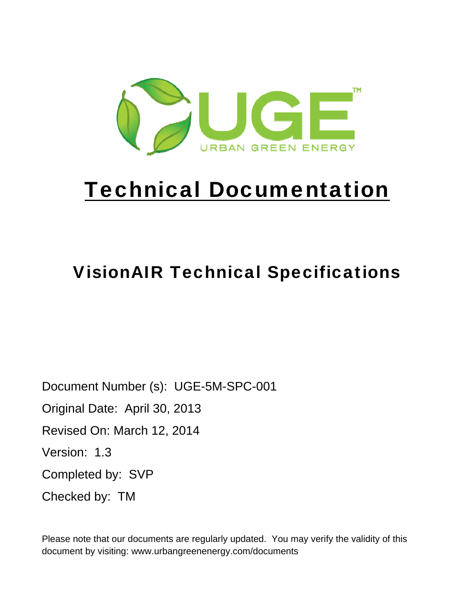

# Technical Documentation

## VisionAIR Technical Specifications

Document Number (s): UGE-5M-SPC-001 Original Date: April 30, 2013 Revised On: March 12, 2014 Version: 1.3 Completed by: SVP Checked by: TM

Please note that our documents are regularly updated. You may verify the validity of this document by visiting: www.urbangreenenergy.com/documents